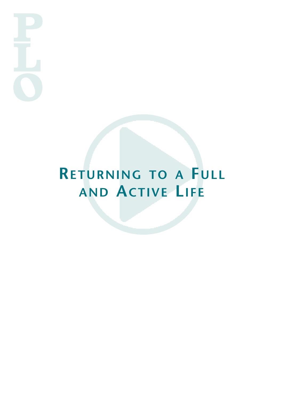# **RETURNING TO A FULL AND ACTIVE LIFE**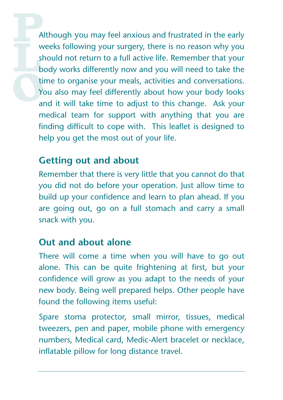Although you may feel anxious and frustrated in the early weeks following your surgery, there is no reason why you should not return to a full active life. Remember that your body works differently now and you will need to take the time to organise your meals, activities and conversations. You also may feel differently about how your body looks and it will take time to adjust to this change. Ask your medical team for support with anything that you are finding difficult to cope with. This leaflet is designed to help you get the most out of your life.

#### **Getting out and about**

Remember that there is very little that you cannot do that you did not do before your operation. Just allow time to build up your confidence and learn to plan ahead. If you are going out, go on a full stomach and carry a small snack with you.

#### **Out and about alone**

There will come a time when you will have to go out alone. This can be quite frightening at first, but your confidence will grow as you adapt to the needs of your new body. Being well prepared helps. Other people have found the following items useful:

Spare stoma protector, small mirror, tissues, medical tweezers, pen and paper, mobile phone with emergency numbers, Medical card, Medic-Alert bracelet or necklace, inflatable pillow for long distance travel.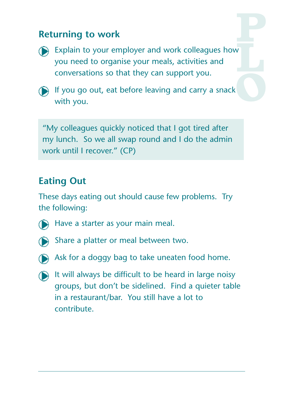## **Returning to work**



Explain to your employer and work colleagues how you need to organise your meals, activities and conversations so that they can support you.



If you go out, eat before leaving and carry a snack with you.

"My colleagues quickly noticed that I got tired after my lunch. So we all swap round and I do the admin work until I recover." (CP)

## **Eating Out**

These days eating out should cause few problems. Try the following:



Have a starter as your main meal.



Share a platter or meal between two.



- Ask for a doggy bag to take uneaten food home.
- $\bigcirc$  It will always be difficult to be heard in large noisy groups, but don't be sidelined. Find a quieter table in a restaurant/bar. You still have a lot to contribute.